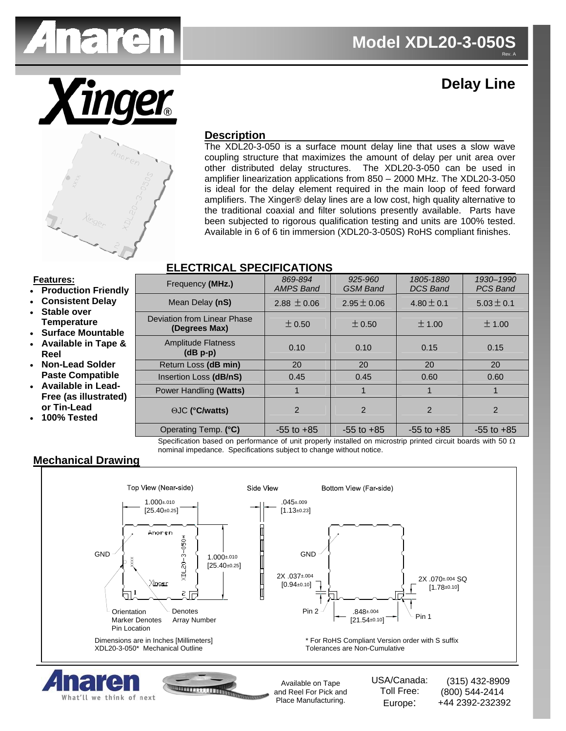

# **Delay Line**



### **Description**

The XDL20-3-050 is a surface mount delay line that uses a slow wave coupling structure that maximizes the amount of delay per unit area over other distributed delay structures. The XDL20-3-050 can be used in amplifier linearization applications from 850 – 2000 MHz. The XDL20-3-050 is ideal for the delay element required in the main loop of feed forward amplifiers. The Xinger® delay lines are a low cost, high quality alternative to the traditional coaxial and filter solutions presently available. Parts have been subjected to rigorous qualification testing and units are 100% tested. Available in 6 of 6 tin immersion (XDL20-3-050S) RoHS compliant finishes.

#### **ELECTRICAL SPECIFICATIONS**

#### **Features:**

- **Production Friendly**
- **Consistent Delay**  • **Stable over**
- **Temperature**  • **Surface Mountable**
- **Available in Tape & Reel**
- **Non-Lead Solder Paste Compatible**
- **Available in Lead-Free (as illustrated) or Tin-Lead**
- **100% Tested**

| Frequency (MHz.)                             | 869-894<br><b>AMPS Band</b> | 925-960<br><b>GSM Band</b> | 1805-1880<br><b>DCS Band</b> | 1930-1990<br><b>PCS Band</b> |
|----------------------------------------------|-----------------------------|----------------------------|------------------------------|------------------------------|
| Mean Delay (nS)                              | $2.88 \pm 0.06$             | $2.95 \pm 0.06$            | $4.80 \pm 0.1$               | $5.03 \pm 0.1$               |
| Deviation from Linear Phase<br>(Degrees Max) | $\pm 0.50$                  | $\pm 0.50$                 | ± 1.00                       | ± 1.00                       |
| <b>Amplitude Flatness</b><br>$(dB p-p)$      | 0.10                        | 0.10                       | 0.15                         | 0.15                         |
| Return Loss (dB min)                         | 20                          | 20                         | 20                           | 20                           |
| Insertion Loss (dB/nS)                       | 0.45                        | 0.45                       | 0.60                         | 0.60                         |
| Power Handling (Watts)                       |                             | 1                          |                              | 1                            |
| <b>OJC (°C/watts)</b>                        | $\mathcal{P}$               | $\mathfrak{p}$             | $\mathfrak{p}$               | $\mathcal{P}$                |
| Operating Temp. (°C)                         | $-55$ to $+85$              | $-55$ to $+85$             | $-55$ to $+85$               | $-55$ to $+85$               |

Specification based on performance of unit properly installed on microstrip printed circuit boards with 50  $\Omega$ nominal impedance. Specifications subject to change without notice.

## **Mechanical Drawing**

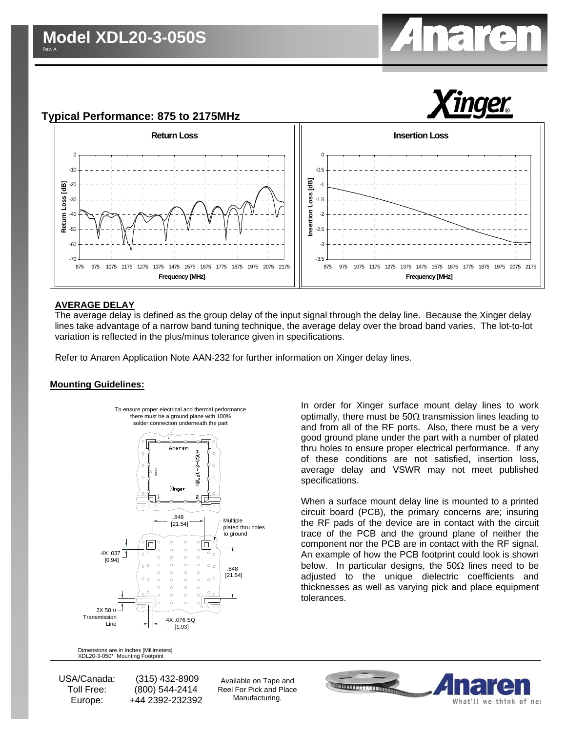# **Typical Performance: 875 to 2175MHz**





#### **AVERAGE DELAY**

The average delay is defined as the group delay of the input signal through the delay line. Because the Xinger delay lines take advantage of a narrow band tuning technique, the average delay over the broad band varies. The lot-to-lot variation is reflected in the plus/minus tolerance given in specifications.

Refer to Anaren Application Note AAN-232 for further information on Xinger delay lines.

#### **Mounting Guidelines:**



In order for Xinger surface mount delay lines to work optimally, there must be  $50\Omega$  transmission lines leading to and from all of the RF ports. Also, there must be a very good ground plane under the part with a number of plated thru holes to ensure proper electrical performance. If any of these conditions are not satisfied, insertion loss, average delay and VSWR may not meet published specifications.

When a surface mount delay line is mounted to a printed circuit board (PCB), the primary concerns are; insuring the RF pads of the device are in contact with the circuit trace of the PCB and the ground plane of neither the component nor the PCB are in contact with the RF signal. An example of how the PCB footprint could look is shown below. In particular designs, the  $50\Omega$  lines need to be adjusted to the unique dielectric coefficients and thicknesses as well as varying pick and place equipment tolerances.

Dimensions are in Inches [Millimeters]<br>XDL20-3-050\* Mounting Footprint

USA/Canada: Toll Free: Europe:

 (315) 432-8909 (800) 544-2414 +44 2392-232392

Available on Tape and Reel For Pick and Place Manufacturing.